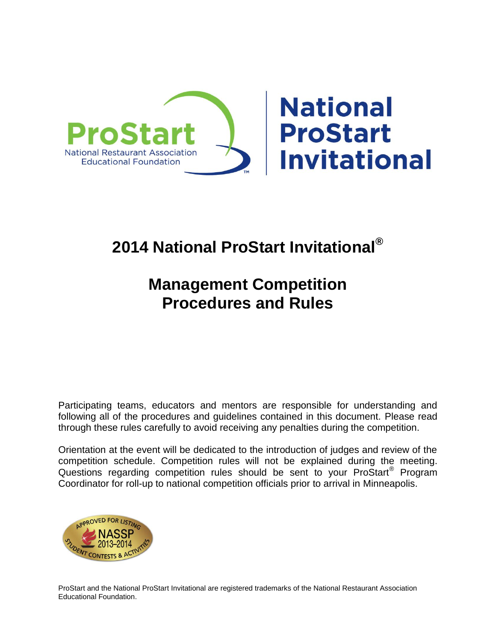

# **2014 National ProStart Invitational®**

# **Management Competition Procedures and Rules**

Participating teams, educators and mentors are responsible for understanding and following all of the procedures and guidelines contained in this document. Please read through these rules carefully to avoid receiving any penalties during the competition.

Orientation at the event will be dedicated to the introduction of judges and review of the competition schedule. Competition rules will not be explained during the meeting. Questions regarding competition rules should be sent to your ProStart<sup>®</sup> Program Coordinator for roll-up to national competition officials prior to arrival in Minneapolis.



ProStart and the National ProStart Invitational are registered trademarks of the National Restaurant Association Educational Foundation.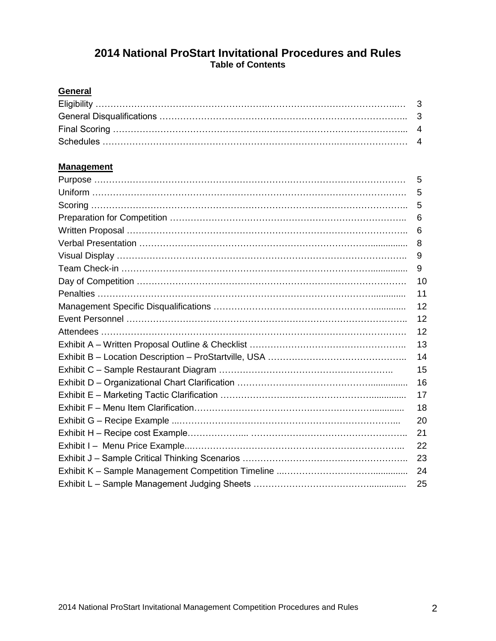# **2014 National ProStart Invitational Procedures and Rules Table of Contents**

# **General**

# **Management**

| 5  |
|----|
| 5  |
| 5  |
| 6  |
| 6  |
| 8  |
| 9  |
| 9  |
| 10 |
| 11 |
| 12 |
| 12 |
| 12 |
| 13 |
| 14 |
| 15 |
| 16 |
| 17 |
| 18 |
| 20 |
| 21 |
| 22 |
| 23 |
| 24 |
| 25 |
|    |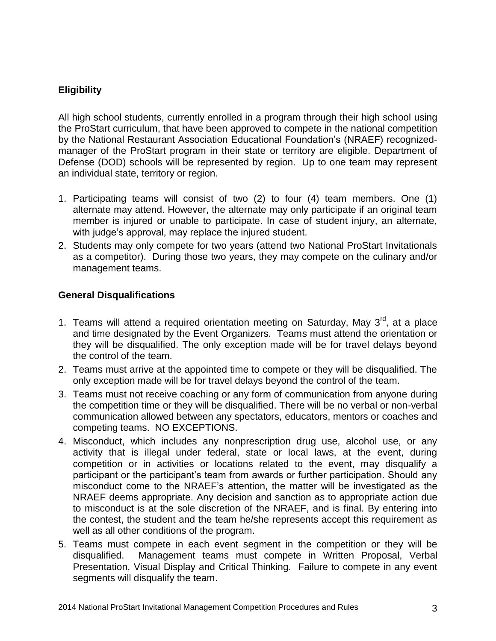# **Eligibility**

All high school students, currently enrolled in a program through their high school using the ProStart curriculum, that have been approved to compete in the national competition by the National Restaurant Association Educational Foundation's (NRAEF) recognizedmanager of the ProStart program in their state or territory are eligible. Department of Defense (DOD) schools will be represented by region. Up to one team may represent an individual state, territory or region.

- 1. Participating teams will consist of two (2) to four (4) team members. One (1) alternate may attend. However, the alternate may only participate if an original team member is injured or unable to participate. In case of student injury, an alternate, with judge's approval, may replace the injured student.
- 2. Students may only compete for two years (attend two National ProStart Invitationals as a competitor). During those two years, they may compete on the culinary and/or management teams.

#### **General Disqualifications**

- 1. Teams will attend a required orientation meeting on Saturday, May  $3<sup>rd</sup>$ , at a place and time designated by the Event Organizers. Teams must attend the orientation or they will be disqualified. The only exception made will be for travel delays beyond the control of the team.
- 2. Teams must arrive at the appointed time to compete or they will be disqualified. The only exception made will be for travel delays beyond the control of the team.
- 3. Teams must not receive coaching or any form of communication from anyone during the competition time or they will be disqualified. There will be no verbal or non-verbal communication allowed between any spectators, educators, mentors or coaches and competing teams. NO EXCEPTIONS.
- 4. Misconduct, which includes any nonprescription drug use, alcohol use, or any activity that is illegal under federal, state or local laws, at the event, during competition or in activities or locations related to the event, may disqualify a participant or the participant's team from awards or further participation. Should any misconduct come to the NRAEF's attention, the matter will be investigated as the NRAEF deems appropriate. Any decision and sanction as to appropriate action due to misconduct is at the sole discretion of the NRAEF, and is final. By entering into the contest, the student and the team he/she represents accept this requirement as well as all other conditions of the program.
- 5. Teams must compete in each event segment in the competition or they will be disqualified. Management teams must compete in Written Proposal, Verbal Presentation, Visual Display and Critical Thinking. Failure to compete in any event segments will disqualify the team.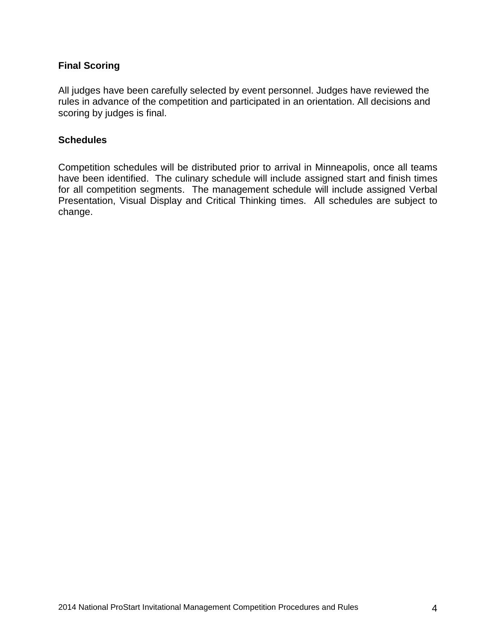## **Final Scoring**

All judges have been carefully selected by event personnel. Judges have reviewed the rules in advance of the competition and participated in an orientation. All decisions and scoring by judges is final.

#### **Schedules**

Competition schedules will be distributed prior to arrival in Minneapolis, once all teams have been identified. The culinary schedule will include assigned start and finish times for all competition segments. The management schedule will include assigned Verbal Presentation, Visual Display and Critical Thinking times. All schedules are subject to change.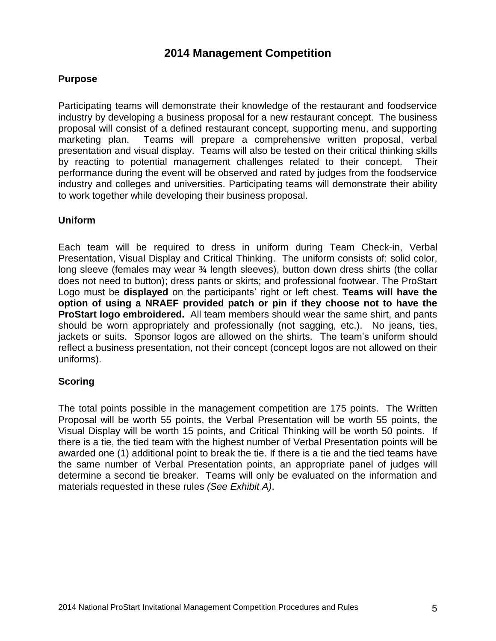# **2014 Management Competition**

#### **Purpose**

Participating teams will demonstrate their knowledge of the restaurant and foodservice industry by developing a business proposal for a new restaurant concept. The business proposal will consist of a defined restaurant concept, supporting menu, and supporting marketing plan. Teams will prepare a comprehensive written proposal, verbal presentation and visual display. Teams will also be tested on their critical thinking skills by reacting to potential management challenges related to their concept. Their performance during the event will be observed and rated by judges from the foodservice industry and colleges and universities. Participating teams will demonstrate their ability to work together while developing their business proposal.

#### **Uniform**

Each team will be required to dress in uniform during Team Check-in, Verbal Presentation, Visual Display and Critical Thinking. The uniform consists of: solid color, long sleeve (females may wear <sup>3</sup>/<sub>4</sub> length sleeves), button down dress shirts (the collar does not need to button); dress pants or skirts; and professional footwear. The ProStart Logo must be **displayed** on the participants' right or left chest. **Teams will have the option of using a NRAEF provided patch or pin if they choose not to have the ProStart logo embroidered.** All team members should wear the same shirt, and pants should be worn appropriately and professionally (not sagging, etc.). No jeans, ties, jackets or suits. Sponsor logos are allowed on the shirts. The team's uniform should reflect a business presentation, not their concept (concept logos are not allowed on their uniforms).

#### **Scoring**

The total points possible in the management competition are 175 points. The Written Proposal will be worth 55 points, the Verbal Presentation will be worth 55 points, the Visual Display will be worth 15 points, and Critical Thinking will be worth 50 points. If there is a tie, the tied team with the highest number of Verbal Presentation points will be awarded one (1) additional point to break the tie. If there is a tie and the tied teams have the same number of Verbal Presentation points, an appropriate panel of judges will determine a second tie breaker. Teams will only be evaluated on the information and materials requested in these rules *(See Exhibit A)*.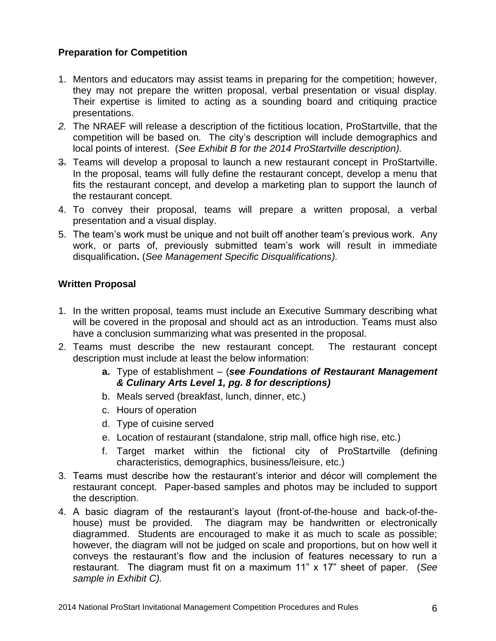# **Preparation for Competition**

- 1. Mentors and educators may assist teams in preparing for the competition; however, they may not prepare the written proposal, verbal presentation or visual display. Their expertise is limited to acting as a sounding board and critiquing practice presentations.
- *2.* The NRAEF will release a description of the fictitious location, ProStartville, that the competition will be based on*.* The city's description will include demographics and local points of interest. (*See Exhibit B for the 2014 ProStartville description).*
- 3. Teams will develop a proposal to launch a new restaurant concept in ProStartville. In the proposal, teams will fully define the restaurant concept, develop a menu that fits the restaurant concept, and develop a marketing plan to support the launch of the restaurant concept.
- 4. To convey their proposal, teams will prepare a written proposal, a verbal presentation and a visual display.
- 5. The team's work must be unique and not built off another team's previous work. Any work, or parts of, previously submitted team's work will result in immediate disqualification**.** (*See Management Specific Disqualifications).*

#### **Written Proposal**

- 1. In the written proposal, teams must include an Executive Summary describing what will be covered in the proposal and should act as an introduction. Teams must also have a conclusion summarizing what was presented in the proposal.
- 2. Teams must describe the new restaurant concept. The restaurant concept description must include at least the below information:
	- **a.** Type of establishment (*see Foundations of Restaurant Management & Culinary Arts Level 1, pg. 8 for descriptions)*
	- b. Meals served (breakfast, lunch, dinner, etc.)
	- c. Hours of operation
	- d. Type of cuisine served
	- e. Location of restaurant (standalone, strip mall, office high rise, etc.)
	- f. Target market within the fictional city of ProStartville (defining characteristics, demographics, business/leisure, etc.)
- 3. Teams must describe how the restaurant's interior and décor will complement the restaurant concept. Paper-based samples and photos may be included to support the description.
- 4. A basic diagram of the restaurant's layout (front-of-the-house and back-of-thehouse) must be provided. The diagram may be handwritten or electronically diagrammed. Students are encouraged to make it as much to scale as possible; however, the diagram will not be judged on scale and proportions, but on how well it conveys the restaurant's flow and the inclusion of features necessary to run a restaurant. The diagram must fit on a maximum 11" x 17" sheet of paper. (*See sample in Exhibit C).*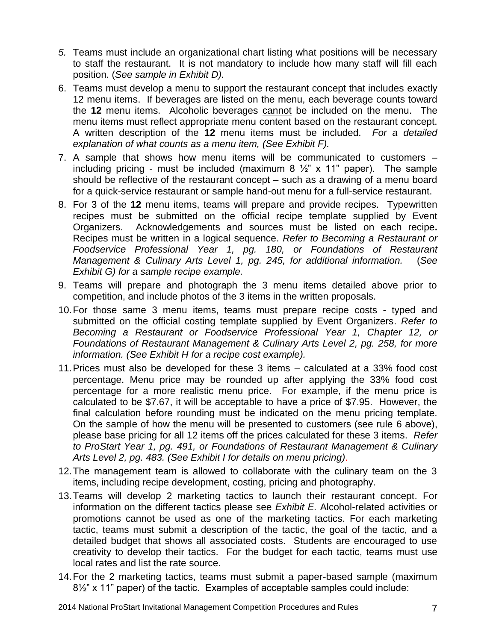- *5.* Teams must include an organizational chart listing what positions will be necessary to staff the restaurant. It is not mandatory to include how many staff will fill each position. (*See sample in Exhibit D).*
- 6. Teams must develop a menu to support the restaurant concept that includes exactly 12 menu items. If beverages are listed on the menu, each beverage counts toward the **12** menu items. Alcoholic beverages cannot be included on the menu. The menu items must reflect appropriate menu content based on the restaurant concept. A written description of the **12** menu items must be included. *For a detailed explanation of what counts as a menu item, (See Exhibit F).*
- 7. A sample that shows how menu items will be communicated to customers including pricing - must be included (maximum 8  $\frac{1}{2}$ " x 11" paper). The sample should be reflective of the restaurant concept – such as a drawing of a menu board for a quick-service restaurant or sample hand-out menu for a full-service restaurant.
- 8. For 3 of the **12** menu items, teams will prepare and provide recipes. Typewritten recipes must be submitted on the official recipe template supplied by Event Organizers. Acknowledgements and sources must be listed on each recipe**.** Recipes must be written in a logical sequence. *Refer to Becoming a Restaurant or Foodservice Professional Year 1, pg. 180, or Foundations of Restaurant Management & Culinary Arts Level 1, pg. 245, for additional information.* (*See Exhibit G) for a sample recipe example.*
- 9. Teams will prepare and photograph the 3 menu items detailed above prior to competition, and include photos of the 3 items in the written proposals.
- 10.For those same 3 menu items, teams must prepare recipe costs typed and submitted on the official costing template supplied by Event Organizers. *Refer to Becoming a Restaurant or Foodservice Professional Year 1, Chapter 12, or Foundations of Restaurant Management & Culinary Arts Level 2, pg. 258, for more information. (See Exhibit H for a recipe cost example).*
- 11.Prices must also be developed for these 3 items calculated at a 33% food cost percentage. Menu price may be rounded up after applying the 33% food cost percentage for a more realistic menu price. For example, if the menu price is calculated to be \$7.67, it will be acceptable to have a price of \$7.95. However, the final calculation before rounding must be indicated on the menu pricing template. On the sample of how the menu will be presented to customers (see rule 6 above), please base pricing for all 12 items off the prices calculated for these 3 items. *Refer to ProStart Year 1, pg. 491, or Foundations of Restaurant Management & Culinary Arts Level 2, pg. 483. (See Exhibit I for details on menu pricing)*.
- 12.The management team is allowed to collaborate with the culinary team on the 3 items, including recipe development, costing, pricing and photography.
- 13.Teams will develop 2 marketing tactics to launch their restaurant concept. For information on the different tactics please see *Exhibit E.* Alcohol-related activities or promotions cannot be used as one of the marketing tactics. For each marketing tactic, teams must submit a description of the tactic, the goal of the tactic, and a detailed budget that shows all associated costs. Students are encouraged to use creativity to develop their tactics. For the budget for each tactic, teams must use local rates and list the rate source.
- 14.For the 2 marketing tactics, teams must submit a paper-based sample (maximum 8½" x 11" paper) of the tactic. Examples of acceptable samples could include: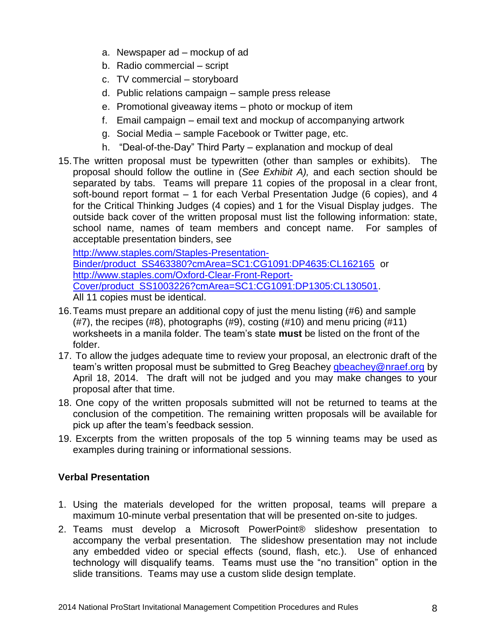- a. Newspaper ad mockup of ad
- b. Radio commercial script
- c. TV commercial storyboard
- d. Public relations campaign sample press release
- e. Promotional giveaway items photo or mockup of item
- f. Email campaign email text and mockup of accompanying artwork
- g. Social Media sample Facebook or Twitter page, etc.
- h. "Deal-of-the-Day" Third Party explanation and mockup of deal
- 15.The written proposal must be typewritten (other than samples or exhibits). The proposal should follow the outline in (*See Exhibit A),* and each section should be separated by tabs. Teams will prepare 11 copies of the proposal in a clear front, soft-bound report format – 1 for each Verbal Presentation Judge (6 copies), and 4 for the Critical Thinking Judges (4 copies) and 1 for the Visual Display judges. The outside back cover of the written proposal must list the following information: state, school name, names of team members and concept name. For samples of acceptable presentation binders, see

[http://www.staples.com/Staples-Presentation-](http://www.staples.com/Staples-Presentation-Binder/product_SS463380?cmArea=SC1:CG1091:DP4635:CL162165)[Binder/product\\_SS463380?cmArea=SC1:CG1091:DP4635:CL162165](http://www.staples.com/Staples-Presentation-Binder/product_SS463380?cmArea=SC1:CG1091:DP4635:CL162165) or [http://www.staples.com/Oxford-Clear-Front-Report-](http://www.staples.com/Oxford-Clear-Front-Report-Cover/product_SS1003226?cmArea=SC1:CG1091:DP1305:CL130501)[Cover/product\\_SS1003226?cmArea=SC1:CG1091:DP1305:CL130501.](http://www.staples.com/Oxford-Clear-Front-Report-Cover/product_SS1003226?cmArea=SC1:CG1091:DP1305:CL130501)

All 11 copies must be identical.

- 16.Teams must prepare an additional copy of just the menu listing (#6) and sample  $(#7)$ , the recipes  $(#8)$ , photographs  $(#9)$ , costing  $(#10)$  and menu pricing  $(#11)$ worksheets in a manila folder. The team's state **must** be listed on the front of the folder.
- 17. To allow the judges adequate time to review your proposal, an electronic draft of the team's written proposal must be submitted to Greg Beachey [gbeachey@nraef.org](mailto:gbeachey@nraef.org) by April 18, 2014. The draft will not be judged and you may make changes to your proposal after that time.
- 18. One copy of the written proposals submitted will not be returned to teams at the conclusion of the competition. The remaining written proposals will be available for pick up after the team's feedback session.
- 19. Excerpts from the written proposals of the top 5 winning teams may be used as examples during training or informational sessions.

# **Verbal Presentation**

- 1. Using the materials developed for the written proposal, teams will prepare a maximum 10-minute verbal presentation that will be presented on-site to judges.
- 2. Teams must develop a Microsoft PowerPoint® slideshow presentation to accompany the verbal presentation. The slideshow presentation may not include any embedded video or special effects (sound, flash, etc.). Use of enhanced technology will disqualify teams. Teams must use the "no transition" option in the slide transitions. Teams may use a custom slide design template.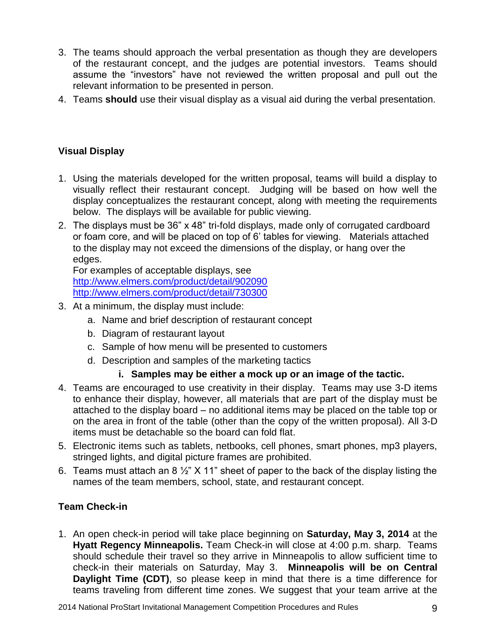- 3. The teams should approach the verbal presentation as though they are developers of the restaurant concept, and the judges are potential investors. Teams should assume the "investors" have not reviewed the written proposal and pull out the relevant information to be presented in person.
- 4. Teams **should** use their visual display as a visual aid during the verbal presentation.

# **Visual Display**

- 1. Using the materials developed for the written proposal, teams will build a display to visually reflect their restaurant concept. Judging will be based on how well the display conceptualizes the restaurant concept, along with meeting the requirements below. The displays will be available for public viewing.
- 2. The displays must be 36" x 48" tri-fold displays, made only of corrugated cardboard or foam core, and will be placed on top of 6' tables for viewing. Materials attached to the display may not exceed the dimensions of the display, or hang over the edges.

For examples of acceptable displays, see <http://www.elmers.com/product/detail/902090> <http://www.elmers.com/product/detail/730300>

- 3. At a minimum, the display must include:
	- a. Name and brief description of restaurant concept
	- b. Diagram of restaurant layout
	- c. Sample of how menu will be presented to customers
	- d. Description and samples of the marketing tactics
		- **i. Samples may be either a mock up or an image of the tactic.**
- 4. Teams are encouraged to use creativity in their display. Teams may use 3-D items to enhance their display, however, all materials that are part of the display must be attached to the display board – no additional items may be placed on the table top or on the area in front of the table (other than the copy of the written proposal). All 3-D items must be detachable so the board can fold flat.
- 5. Electronic items such as tablets, netbooks, cell phones, smart phones, mp3 players, stringed lights, and digital picture frames are prohibited.
- 6. Teams must attach an 8  $\frac{1}{2}$ " X 11" sheet of paper to the back of the display listing the names of the team members, school, state, and restaurant concept.

# **Team Check-in**

1. An open check-in period will take place beginning on **Saturday, May 3, 2014** at the **Hyatt Regency Minneapolis.** Team Check-in will close at 4:00 p.m. sharp. Teams should schedule their travel so they arrive in Minneapolis to allow sufficient time to check-in their materials on Saturday, May 3. **Minneapolis will be on Central Daylight Time (CDT)**, so please keep in mind that there is a time difference for teams traveling from different time zones. We suggest that your team arrive at the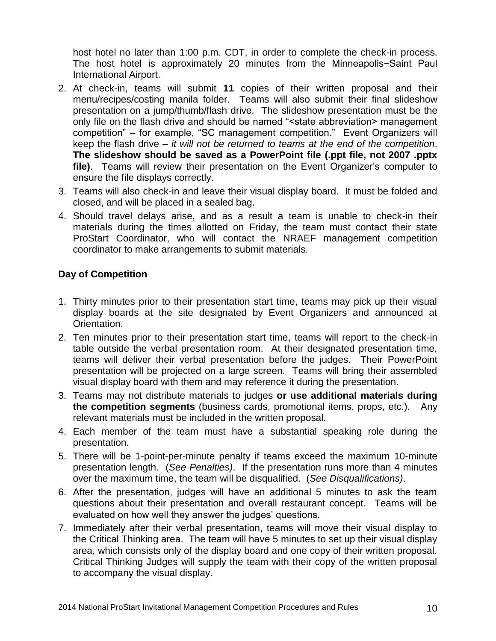host hotel no later than 1:00 p.m. CDT, in order to complete the check-in process. The host hotel is approximately 20 minutes from the Minneapolis−Saint Paul International Airport.

- 2. At check-in, teams will submit **11** copies of their written proposal and their menu/recipes/costing manila folder. Teams will also submit their final slideshow presentation on a jump/thumb/flash drive. The slideshow presentation must be the only file on the flash drive and should be named "<state abbreviation> management competition" – for example, "SC management competition." Event Organizers will keep the flash drive – *it will not be returned to teams at the end of the competition*. **The slideshow should be saved as a PowerPoint file (.ppt file, not 2007 .pptx file)**. Teams will review their presentation on the Event Organizer's computer to ensure the file displays correctly.
- 3. Teams will also check-in and leave their visual display board. It must be folded and closed, and will be placed in a sealed bag.
- 4. Should travel delays arise, and as a result a team is unable to check-in their materials during the times allotted on Friday, the team must contact their state ProStart Coordinator, who will contact the NRAEF management competition coordinator to make arrangements to submit materials.

#### **Day of Competition**

- 1. Thirty minutes prior to their presentation start time, teams may pick up their visual display boards at the site designated by Event Organizers and announced at Orientation.
- 2. Ten minutes prior to their presentation start time, teams will report to the check-in table outside the verbal presentation room. At their designated presentation time, teams will deliver their verbal presentation before the judges. Their PowerPoint presentation will be projected on a large screen. Teams will bring their assembled visual display board with them and may reference it during the presentation.
- 3. Teams may not distribute materials to judges **or use additional materials during the competition segments** (business cards, promotional items, props, etc.). Any relevant materials must be included in the written proposal.
- 4. Each member of the team must have a substantial speaking role during the presentation.
- 5. There will be 1-point-per-minute penalty if teams exceed the maximum 10-minute presentation length. (*See Penalties)*. If the presentation runs more than 4 minutes over the maximum time, the team will be disqualified. (*See Disqualifications)*.
- 6. After the presentation, judges will have an additional 5 minutes to ask the team questions about their presentation and overall restaurant concept. Teams will be evaluated on how well they answer the judges' questions.
- 7. Immediately after their verbal presentation, teams will move their visual display to the Critical Thinking area. The team will have 5 minutes to set up their visual display area, which consists only of the display board and one copy of their written proposal. Critical Thinking Judges will supply the team with their copy of the written proposal to accompany the visual display.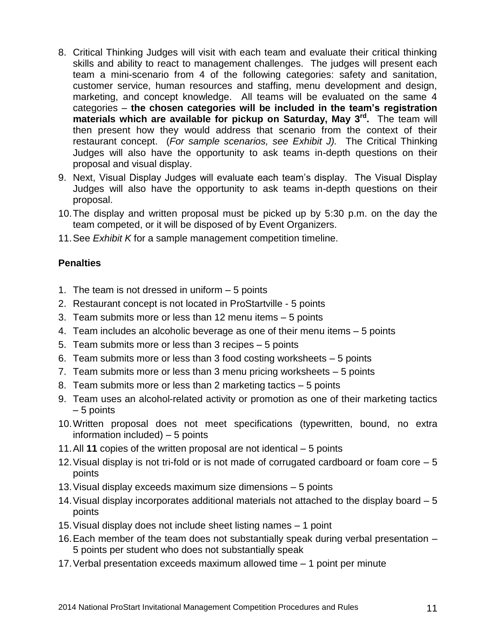- 8. Critical Thinking Judges will visit with each team and evaluate their critical thinking skills and ability to react to management challenges. The judges will present each team a mini-scenario from 4 of the following categories: safety and sanitation, customer service, human resources and staffing, menu development and design, marketing, and concept knowledge. All teams will be evaluated on the same 4 categories – **the chosen categories will be included in the team's registration materials which are available for pickup on Saturday, May 3rd .** The team will then present how they would address that scenario from the context of their restaurant concept. (*For sample scenarios, see Exhibit J).* The Critical Thinking Judges will also have the opportunity to ask teams in-depth questions on their proposal and visual display.
- 9. Next, Visual Display Judges will evaluate each team's display. The Visual Display Judges will also have the opportunity to ask teams in-depth questions on their proposal.
- 10.The display and written proposal must be picked up by 5:30 p.m. on the day the team competed, or it will be disposed of by Event Organizers.
- 11.See *Exhibit K* for a sample management competition timeline.

# **Penalties**

- 1. The team is not dressed in uniform 5 points
- 2. Restaurant concept is not located in ProStartville 5 points
- 3. Team submits more or less than 12 menu items 5 points
- 4. Team includes an alcoholic beverage as one of their menu items 5 points
- 5. Team submits more or less than 3 recipes 5 points
- 6. Team submits more or less than 3 food costing worksheets 5 points
- 7. Team submits more or less than 3 menu pricing worksheets 5 points
- 8. Team submits more or less than 2 marketing tactics 5 points
- 9. Team uses an alcohol-related activity or promotion as one of their marketing tactics – 5 points
- 10.Written proposal does not meet specifications (typewritten, bound, no extra information included) – 5 points
- 11.All **11** copies of the written proposal are not identical 5 points
- 12.Visual display is not tri-fold or is not made of corrugated cardboard or foam core 5 points
- 13.Visual display exceeds maximum size dimensions 5 points
- 14.Visual display incorporates additional materials not attached to the display board 5 points
- 15.Visual display does not include sheet listing names 1 point
- 16.Each member of the team does not substantially speak during verbal presentation 5 points per student who does not substantially speak
- 17.Verbal presentation exceeds maximum allowed time 1 point per minute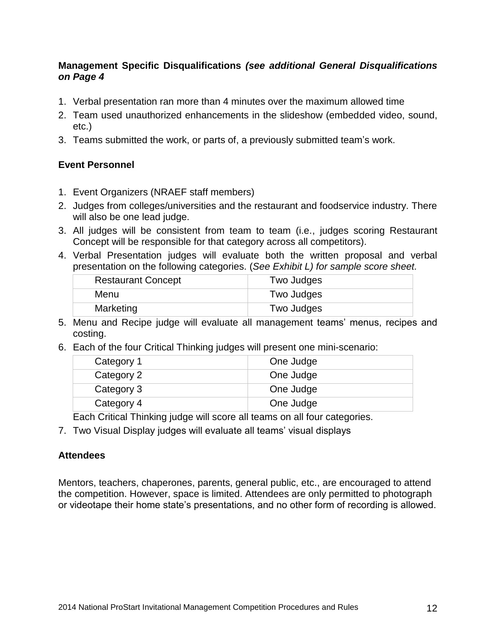#### **Management Specific Disqualifications** *(see additional General Disqualifications on Page 4*

- 1. Verbal presentation ran more than 4 minutes over the maximum allowed time
- 2. Team used unauthorized enhancements in the slideshow (embedded video, sound, etc.)
- 3. Teams submitted the work, or parts of, a previously submitted team's work.

#### **Event Personnel**

- 1. Event Organizers (NRAEF staff members)
- 2. Judges from colleges/universities and the restaurant and foodservice industry. There will also be one lead judge.
- 3. All judges will be consistent from team to team (i.e., judges scoring Restaurant Concept will be responsible for that category across all competitors).
- 4. Verbal Presentation judges will evaluate both the written proposal and verbal presentation on the following categories. (*See Exhibit L) for sample score sheet.*

| <b>Restaurant Concept</b> | Two Judges |
|---------------------------|------------|
| Menu                      | Two Judges |
| Marketing                 | Two Judges |

- 5. Menu and Recipe judge will evaluate all management teams' menus, recipes and costing.
- 6. Each of the four Critical Thinking judges will present one mini-scenario:

| Category 1 | One Judge |
|------------|-----------|
| Category 2 | One Judge |
| Category 3 | One Judge |
| Category 4 | One Judge |

Each Critical Thinking judge will score all teams on all four categories.

7. Two Visual Display judges will evaluate all teams' visual displays

#### **Attendees**

Mentors, teachers, chaperones, parents, general public, etc., are encouraged to attend the competition. However, space is limited. Attendees are only permitted to photograph or videotape their home state's presentations, and no other form of recording is allowed.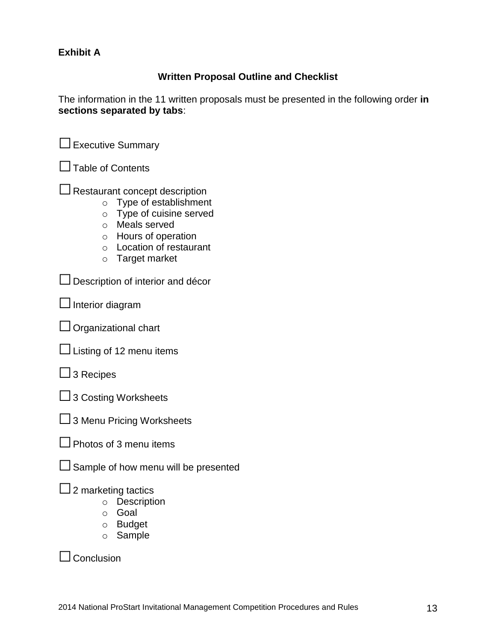#### **Exhibit A**

# **Written Proposal Outline and Checklist**

The information in the 11 written proposals must be presented in the following order **in sections separated by tabs**:

□Executive Summary

 $\Box$  Table of Contents

 $\Box$  Restaurant concept description

- o Type of establishment
- o Type of cuisine served
- o Meals served
- o Hours of operation
- o Location of restaurant
- o Target market

 $\square$  Description of interior and décor

 $\Box$  Interior diagram

 $\Box$  Organizational chart

 $\Box$  Listing of 12 menu items

 $\Box$  3 Recipes

□ 3 Costing Worksheets

□ 3 Menu Pricing Worksheets

| $\Box$ Photos of 3 menu items |  |
|-------------------------------|--|

 $\square$  Sample of how menu will be presented

 $\Box$  2 marketing tactics

- o Description
- o Goal
- o Budget
- o Sample

 $\Box$  Conclusion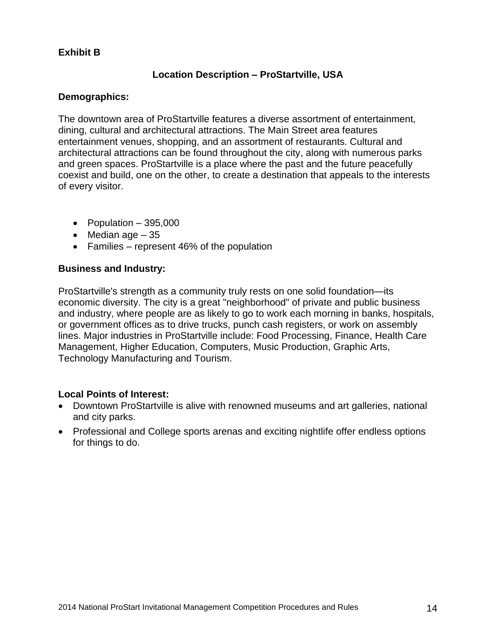## **Exhibit B**

#### **Location Description – ProStartville, USA**

#### **Demographics:**

The downtown area of ProStartville features a diverse assortment of entertainment, dining, cultural and architectural attractions. The Main Street area features entertainment venues, shopping, and an assortment of restaurants. Cultural and architectural attractions can be found throughout the city, along with numerous parks and green spaces. ProStartville is a place where the past and the future peacefully coexist and build, one on the other, to create a destination that appeals to the interests of every visitor.

- Population  $-395,000$
- $\bullet$  Median age  $-35$
- Families represent 46% of the population

#### **Business and Industry:**

ProStartville's strength as a community truly rests on one solid foundation—its economic diversity. The city is a great "neighborhood" of private and public business and industry, where people are as likely to go to work each morning in banks, hospitals, or government offices as to drive trucks, punch cash registers, or work on assembly lines. Major industries in ProStartville include: Food Processing, Finance, Health Care Management, Higher Education, Computers, Music Production, Graphic Arts, Technology Manufacturing and Tourism.

#### **Local Points of Interest:**

- Downtown ProStartville is alive with renowned museums and art galleries, national and city parks.
- Professional and College sports arenas and exciting nightlife offer endless options for things to do.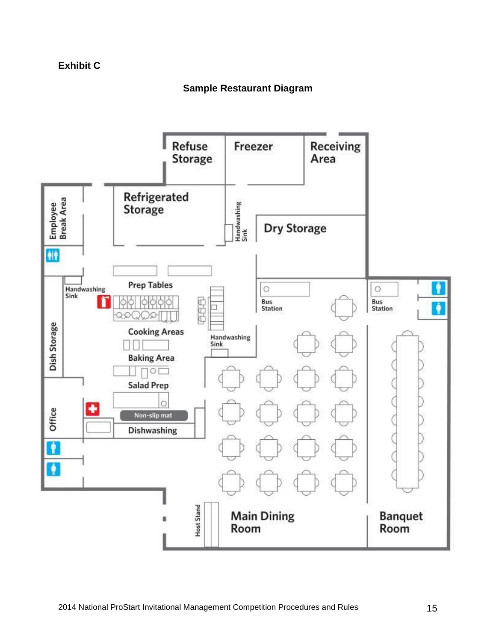# **Exhibit C**

# **Sample Restaurant Diagram**

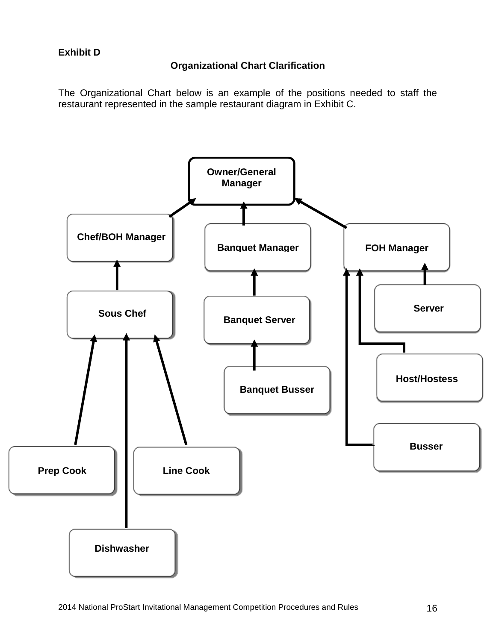# **Organizational Chart Clarification**

The Organizational Chart below is an example of the positions needed to staff the restaurant represented in the sample restaurant diagram in Exhibit C.

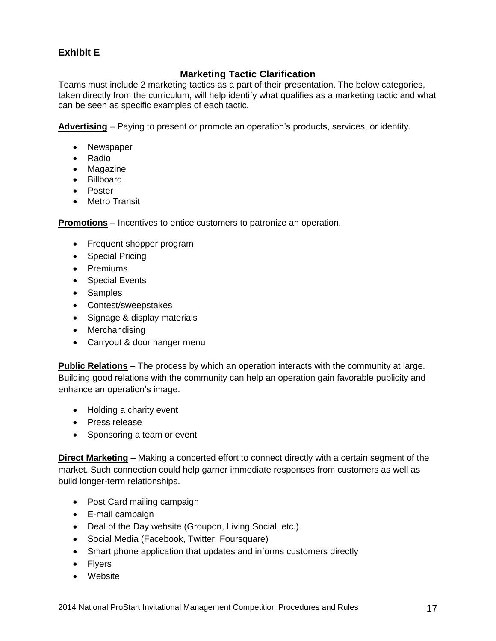# **Exhibit E**

## **Marketing Tactic Clarification**

Teams must include 2 marketing tactics as a part of their presentation. The below categories, taken directly from the curriculum, will help identify what qualifies as a marketing tactic and what can be seen as specific examples of each tactic.

**Advertising** – Paying to present or promote an operation's products, services, or identity.

- Newspaper
- Radio
- Magazine
- Billboard
- Poster
- Metro Transit

**Promotions** – Incentives to entice customers to patronize an operation.

- Frequent shopper program
- Special Pricing
- Premiums
- Special Events
- Samples
- Contest/sweepstakes
- Signage & display materials
- Merchandising
- Carryout & door hanger menu

**Public Relations** – The process by which an operation interacts with the community at large. Building good relations with the community can help an operation gain favorable publicity and enhance an operation's image.

- Holding a charity event
- Press release
- Sponsoring a team or event

**Direct Marketing** – Making a concerted effort to connect directly with a certain segment of the market. Such connection could help garner immediate responses from customers as well as build longer-term relationships.

- Post Card mailing campaign
- E-mail campaign
- Deal of the Day website (Groupon, Living Social, etc.)
- Social Media (Facebook, Twitter, Foursquare)
- Smart phone application that updates and informs customers directly
- Flyers
- Website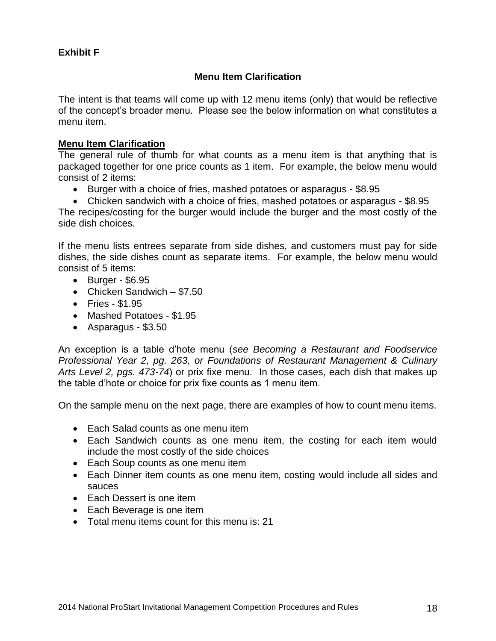#### **Exhibit F**

#### **Menu Item Clarification**

The intent is that teams will come up with 12 menu items (only) that would be reflective of the concept's broader menu. Please see the below information on what constitutes a menu item.

#### **Menu Item Clarification**

The general rule of thumb for what counts as a menu item is that anything that is packaged together for one price counts as 1 item. For example, the below menu would consist of 2 items:

- Burger with a choice of fries, mashed potatoes or asparagus \$8.95
- Chicken sandwich with a choice of fries, mashed potatoes or asparagus \$8.95

The recipes/costing for the burger would include the burger and the most costly of the side dish choices.

If the menu lists entrees separate from side dishes, and customers must pay for side dishes, the side dishes count as separate items. For example, the below menu would consist of 5 items:

- $\bullet$  Burger \$6.95
- Chicken Sandwich \$7.50
- Fries \$1.95
- Mashed Potatoes \$1.95
- Asparagus \$3.50

An exception is a table d'hote menu (*see Becoming a Restaurant and Foodservice Professional Year 2, pg. 263, or Foundations of Restaurant Management & Culinary Arts Level 2, pgs. 473-74*) or prix fixe menu. In those cases, each dish that makes up the table d'hote or choice for prix fixe counts as 1 menu item.

On the sample menu on the next page, there are examples of how to count menu items.

- Each Salad counts as one menu item
- Each Sandwich counts as one menu item, the costing for each item would include the most costly of the side choices
- Each Soup counts as one menu item
- Each Dinner item counts as one menu item, costing would include all sides and sauces
- Each Dessert is one item
- Each Beverage is one item
- Total menu items count for this menu is: 21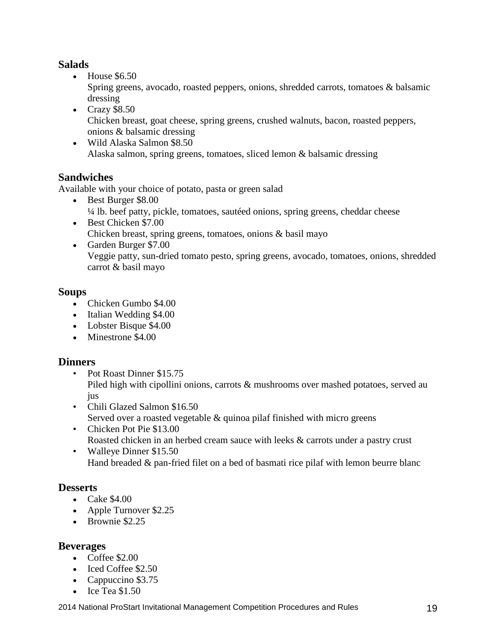# **Salads**

• House \$6.50

Spring greens, avocado, roasted peppers, onions, shredded carrots, tomatoes & balsamic dressing

- $\text{Crazy } $8.50$ Chicken breast, goat cheese, spring greens, crushed walnuts, bacon, roasted peppers, onions & balsamic dressing
- Wild Alaska Salmon \$8.50 Alaska salmon, spring greens, tomatoes, sliced lemon & balsamic dressing

# **Sandwiches**

Available with your choice of potato, pasta or green salad

- Best Burger \$8.00 ¼ lb. beef patty, pickle, tomatoes, sautéed onions, spring greens, cheddar cheese Best Chicken \$7.00
- Chicken breast, spring greens, tomatoes, onions & basil mayo
- Garden Burger \$7.00 Veggie patty, sun-dried tomato pesto, spring greens, avocado, tomatoes, onions, shredded carrot & basil mayo

# **Soups**

- Chicken Gumbo \$4.00
- Italian Wedding \$4.00
- Lobster Bisque \$4.00
- Minestrone \$4,00

# **Dinners**

- Pot Roast Dinner \$15.75 Piled high with cipollini onions, carrots & mushrooms over mashed potatoes, served au jus
- Chili Glazed Salmon \$16.50 Served over a roasted vegetable & quinoa pilaf finished with micro greens
- Chicken Pot Pie \$13.00 Roasted chicken in an herbed cream sauce with leeks & carrots under a pastry crust
- Walleye Dinner \$15.50 Hand breaded & pan-fried filet on a bed of basmati rice pilaf with lemon beurre blanc

# **Desserts**

- $\bullet$  Cake \$4.00
- Apple Turnover \$2.25
- Brownie \$2.25

# **Beverages**

- $\bullet$  Coffee \$2.00
- Iced Coffee \$2.50
- Cappuccino \$3.75
- $\bullet$  Ice Tea \$1.50

2014 National ProStart Invitational Management Competition Procedures and Rules 19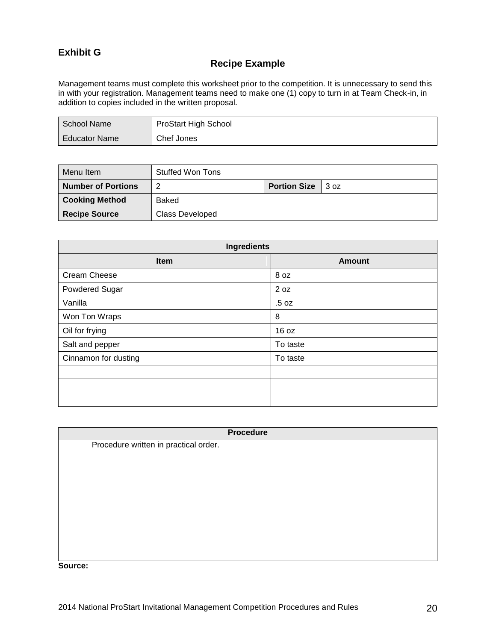# **Exhibit G**

#### **Recipe Example**

Management teams must complete this worksheet prior to the competition. It is unnecessary to send this in with your registration. Management teams need to make one (1) copy to turn in at Team Check-in, in addition to copies included in the written proposal.

| School Name          | <b>ProStart High School</b> |
|----------------------|-----------------------------|
| <b>Educator Name</b> | Chef Jones                  |

| Menu Item                 | Stuffed Won Tons       |                     |      |
|---------------------------|------------------------|---------------------|------|
| <b>Number of Portions</b> | റ                      | <b>Portion Size</b> | 3 oz |
| <b>Cooking Method</b>     | Baked                  |                     |      |
| <b>Recipe Source</b>      | <b>Class Developed</b> |                     |      |

| Ingredients          |               |  |  |
|----------------------|---------------|--|--|
| Item                 | <b>Amount</b> |  |  |
| Cream Cheese         | 8 oz          |  |  |
| Powdered Sugar       | 2 oz          |  |  |
| Vanilla              | .5 oz         |  |  |
| Won Ton Wraps        | 8             |  |  |
| Oil for frying       | 16 oz         |  |  |
| Salt and pepper      | To taste      |  |  |
| Cinnamon for dusting | To taste      |  |  |
|                      |               |  |  |
|                      |               |  |  |
|                      |               |  |  |

|                                       | <b>Procedure</b> |
|---------------------------------------|------------------|
| Procedure written in practical order. |                  |
|                                       |                  |
|                                       |                  |
|                                       |                  |
|                                       |                  |
|                                       |                  |
|                                       |                  |
|                                       |                  |
|                                       |                  |
|                                       |                  |
| -------                               |                  |

**Source:**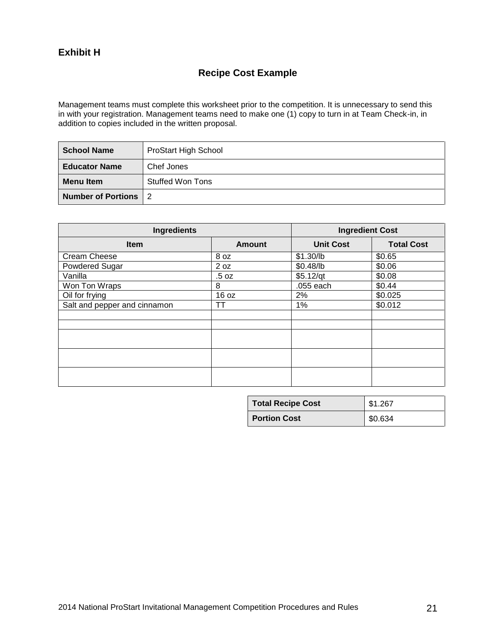## **Exhibit H**

# **Recipe Cost Example**

Management teams must complete this worksheet prior to the competition. It is unnecessary to send this in with your registration. Management teams need to make one (1) copy to turn in at Team Check-in, in addition to copies included in the written proposal.

| <b>School Name</b>   | <b>ProStart High School</b> |
|----------------------|-----------------------------|
| <b>Educator Name</b> | Chef Jones                  |
| <b>Menu Item</b>     | Stuffed Won Tons            |
| Number of Portions 2 |                             |

| <b>Ingredients</b>           |               | <b>Ingredient Cost</b> |                   |
|------------------------------|---------------|------------------------|-------------------|
| Item                         | <b>Amount</b> | <b>Unit Cost</b>       | <b>Total Cost</b> |
| Cream Cheese                 | 8 oz          | \$1.30/lb              | \$0.65            |
| Powdered Sugar               | 2 oz          | \$0.48/lb              | \$0.06            |
| Vanilla                      | .5 oz         | $$5.12$ /qt            | \$0.08            |
| Won Ton Wraps                | 8             | .055 each              | \$0.44            |
| Oil for frying               | 16 oz         | 2%                     | \$0.025           |
| Salt and pepper and cinnamon | TΤ            | 1%                     | \$0.012           |
|                              |               |                        |                   |
|                              |               |                        |                   |
|                              |               |                        |                   |
|                              |               |                        |                   |
|                              |               |                        |                   |

| <b>Total Recipe Cost</b> | \$1.267 |
|--------------------------|---------|
| <b>Portion Cost</b>      | \$0.634 |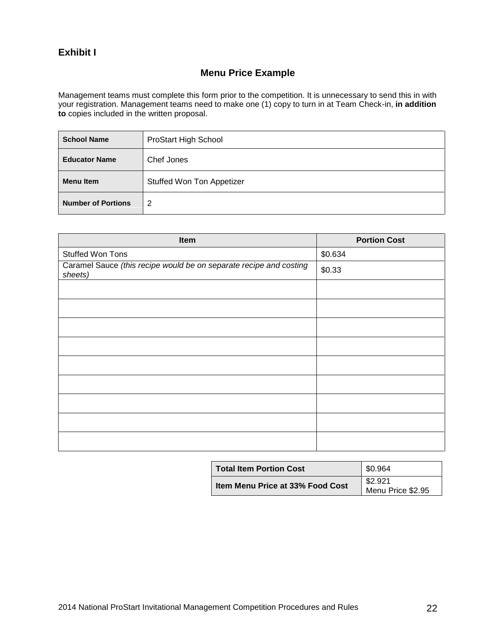#### **Exhibit I**

# **Menu Price Example**

Management teams must complete this form prior to the competition. It is unnecessary to send this in with your registration. Management teams need to make one (1) copy to turn in at Team Check-in, **in addition to** copies included in the written proposal.

| <b>School Name</b>        | ProStart High School      |
|---------------------------|---------------------------|
| <b>Educator Name</b>      | Chef Jones                |
| <b>Menu Item</b>          | Stuffed Won Ton Appetizer |
| <b>Number of Portions</b> | 2                         |

| Item                                                                          | <b>Portion Cost</b> |
|-------------------------------------------------------------------------------|---------------------|
| Stuffed Won Tons                                                              | \$0.634             |
| Caramel Sauce (this recipe would be on separate recipe and costing<br>sheets) | \$0.33              |
|                                                                               |                     |
|                                                                               |                     |
|                                                                               |                     |
|                                                                               |                     |
|                                                                               |                     |
|                                                                               |                     |
|                                                                               |                     |
|                                                                               |                     |
|                                                                               |                     |

| <b>Total Item Portion Cost</b>   | \$0.964                      |
|----------------------------------|------------------------------|
| Item Menu Price at 33% Food Cost | \$2.921<br>Menu Price \$2.95 |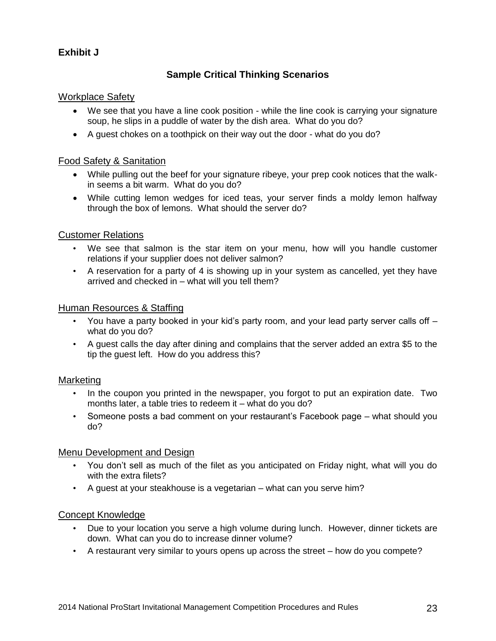# **Exhibit J**

# **Sample Critical Thinking Scenarios**

#### Workplace Safety

- We see that you have a line cook position while the line cook is carrying your signature soup, he slips in a puddle of water by the dish area. What do you do?
- A guest chokes on a toothpick on their way out the door what do you do?

#### Food Safety & Sanitation

- While pulling out the beef for your signature ribeye, your prep cook notices that the walkin seems a bit warm. What do you do?
- While cutting lemon wedges for iced teas, your server finds a moldy lemon halfway through the box of lemons. What should the server do?

#### Customer Relations

- We see that salmon is the star item on your menu, how will you handle customer relations if your supplier does not deliver salmon?
- A reservation for a party of 4 is showing up in your system as cancelled, yet they have arrived and checked in – what will you tell them?

#### Human Resources & Staffing

- You have a party booked in your kid's party room, and your lead party server calls off what do you do?
- A guest calls the day after dining and complains that the server added an extra \$5 to the tip the guest left. How do you address this?

#### **Marketing**

- In the coupon you printed in the newspaper, you forgot to put an expiration date. Two months later, a table tries to redeem it – what do you do?
- Someone posts a bad comment on your restaurant's Facebook page what should you do?

#### Menu Development and Design

- You don't sell as much of the filet as you anticipated on Friday night, what will you do with the extra filets?
- A guest at your steakhouse is a vegetarian what can you serve him?

#### Concept Knowledge

- Due to your location you serve a high volume during lunch. However, dinner tickets are down. What can you do to increase dinner volume?
- A restaurant very similar to yours opens up across the street how do you compete?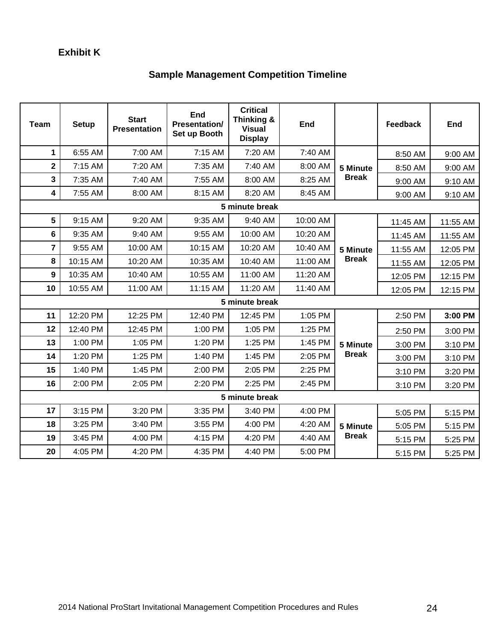# **Exhibit K**

# **Sample Management Competition Timeline**

| <b>Team</b>     | <b>Setup</b>   | <b>Start</b><br><b>Presentation</b> | End<br><b>Presentation/</b><br>Set up Booth | <b>Critical</b><br>Thinking &<br><b>Visual</b><br><b>Display</b> | <b>End</b> |                          | <b>Feedback</b> | End      |
|-----------------|----------------|-------------------------------------|---------------------------------------------|------------------------------------------------------------------|------------|--------------------------|-----------------|----------|
| 1               | 6:55 AM        | 7:00 AM                             | 7:15 AM                                     | 7:20 AM                                                          | 7:40 AM    |                          | 8:50 AM         | 9:00 AM  |
| $\mathbf 2$     | 7:15 AM        | 7:20 AM                             | 7:35 AM                                     | 7:40 AM                                                          | 8:00 AM    | 5 Minute                 | 8:50 AM         | 9:00 AM  |
| 3               | 7:35 AM        | 7:40 AM                             | 7:55 AM                                     | 8:00 AM                                                          | 8:25 AM    | <b>Break</b>             | 9:00 AM         | 9:10 AM  |
| 4               | 7:55 AM        | 8:00 AM                             | 8:15 AM                                     | 8:20 AM                                                          | 8:45 AM    |                          | 9:00 AM         | 9:10 AM  |
|                 |                |                                     |                                             | 5 minute break                                                   |            |                          |                 |          |
| $5\phantom{.0}$ | 9:15 AM        | 9:20 AM                             | 9:35 AM                                     | 9:40 AM                                                          | 10:00 AM   |                          | 11:45 AM        | 11:55 AM |
| 6               | 9:35 AM        | 9:40 AM                             | 9:55 AM                                     | 10:00 AM                                                         | 10:20 AM   |                          | 11:45 AM        | 11:55 AM |
| $\overline{7}$  | 9:55 AM        | 10:00 AM                            | 10:15 AM                                    | 10:20 AM                                                         | 10:40 AM   | 5 Minute<br><b>Break</b> | 11:55 AM        | 12:05 PM |
| 8               | 10:15 AM       | 10:20 AM                            | 10:35 AM                                    | 10:40 AM                                                         | 11:00 AM   |                          | 11:55 AM        | 12:05 PM |
| 9               | 10:35 AM       | 10:40 AM                            | 10:55 AM                                    | 11:00 AM                                                         | 11:20 AM   |                          | 12:05 PM        | 12:15 PM |
| 10              | 10:55 AM       | 11:00 AM                            | 11:15 AM                                    | 11:20 AM                                                         | 11:40 AM   |                          | 12:05 PM        | 12:15 PM |
|                 |                |                                     |                                             | 5 minute break                                                   |            |                          |                 |          |
| 11              | 12:20 PM       | 12:25 PM                            | 12:40 PM                                    | 12:45 PM                                                         | 1:05 PM    |                          | 2:50 PM         | 3:00 PM  |
| 12              | 12:40 PM       | 12:45 PM                            | 1:00 PM                                     | 1:05 PM                                                          | 1:25 PM    |                          | 2:50 PM         | 3:00 PM  |
| 13              | 1:00 PM        | 1:05 PM                             | 1:20 PM                                     | 1:25 PM                                                          | 1:45 PM    | 5 Minute                 | 3:00 PM         | 3:10 PM  |
| 14              | 1:20 PM        | 1:25 PM                             | 1:40 PM                                     | 1:45 PM                                                          | 2:05 PM    | <b>Break</b>             | 3:00 PM         | 3:10 PM  |
| 15              | 1:40 PM        | 1:45 PM                             | 2:00 PM                                     | 2:05 PM                                                          | 2:25 PM    |                          | 3:10 PM         | 3:20 PM  |
| 16              | 2:00 PM        | 2:05 PM                             | 2:20 PM                                     | 2:25 PM                                                          | 2:45 PM    |                          | 3:10 PM         | 3:20 PM  |
|                 | 5 minute break |                                     |                                             |                                                                  |            |                          |                 |          |
| 17              | 3:15 PM        | 3:20 PM                             | 3:35 PM                                     | 3:40 PM                                                          | 4:00 PM    |                          | 5:05 PM         | 5:15 PM  |
| 18              | 3:25 PM        | 3:40 PM                             | 3:55 PM                                     | 4:00 PM                                                          | 4:20 AM    | 5 Minute                 | 5:05 PM         | 5:15 PM  |
| 19              | 3:45 PM        | 4:00 PM                             | 4:15 PM                                     | 4:20 PM                                                          | 4:40 AM    | <b>Break</b>             | 5:15 PM         | 5:25 PM  |
| 20              | 4:05 PM        | 4:20 PM                             | 4:35 PM                                     | 4:40 PM                                                          | 5:00 PM    |                          | 5:15 PM         | 5:25 PM  |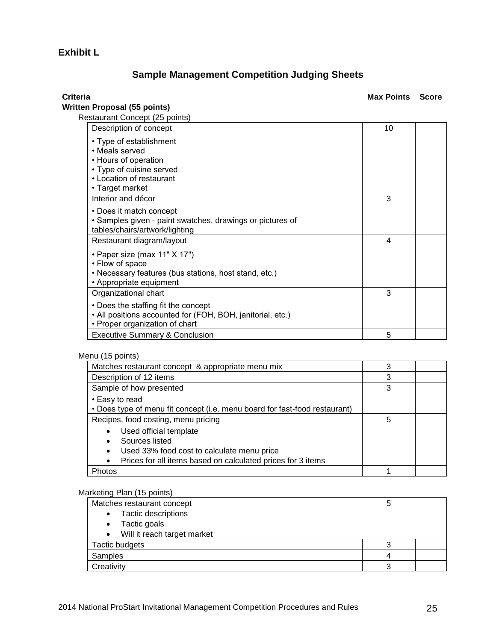# **Exhibit L**

# **Sample Management Competition Judging Sheets**

| Criteria                                                                                                                                     | <b>Max Points</b> | <b>Score</b> |
|----------------------------------------------------------------------------------------------------------------------------------------------|-------------------|--------------|
| Written Proposal (55 points)<br>Restaurant Concept (25 points)                                                                               |                   |              |
| Description of concept                                                                                                                       | 10                |              |
| • Type of establishment<br>• Meals served<br>• Hours of operation<br>• Type of cuisine served<br>• Location of restaurant<br>• Target market |                   |              |
| Interior and décor                                                                                                                           | 3                 |              |
| • Does it match concept<br>· Samples given - paint swatches, drawings or pictures of<br>tables/chairs/artwork/lighting                       |                   |              |
| Restaurant diagram/layout                                                                                                                    | 4                 |              |
| • Paper size (max 11" X 17")<br>• Flow of space<br>• Necessary features (bus stations, host stand, etc.)<br>• Appropriate equipment          |                   |              |
| Organizational chart                                                                                                                         | 3                 |              |
| • Does the staffing fit the concept<br>• All positions accounted for (FOH, BOH, janitorial, etc.)<br>• Proper organization of chart          |                   |              |
| <b>Executive Summary &amp; Conclusion</b>                                                                                                    | 5                 |              |

#### Menu (15 points)

| Matches restaurant concept & appropriate menu mix                                            | 3 |  |
|----------------------------------------------------------------------------------------------|---|--|
| Description of 12 items                                                                      | 3 |  |
| Sample of how presented                                                                      | 3 |  |
| • Easy to read<br>• Does type of menu fit concept (i.e. menu board for fast-food restaurant) |   |  |
| Recipes, food costing, menu pricing                                                          | 5 |  |
| Used official template                                                                       |   |  |
| Sources listed                                                                               |   |  |
| Used 33% food cost to calculate menu price<br>$\bullet$                                      |   |  |
| Prices for all items based on calculated prices for 3 items<br>$\bullet$                     |   |  |
| Photos                                                                                       |   |  |

#### Marketing Plan (15 points)

| Matches restaurant concept               | э |  |
|------------------------------------------|---|--|
| Tactic descriptions<br>$\bullet$         |   |  |
| Tactic goals<br>$\bullet$                |   |  |
| Will it reach target market<br>$\bullet$ |   |  |
| <b>Tactic budgets</b>                    |   |  |
| Samples                                  |   |  |
| Creativity                               |   |  |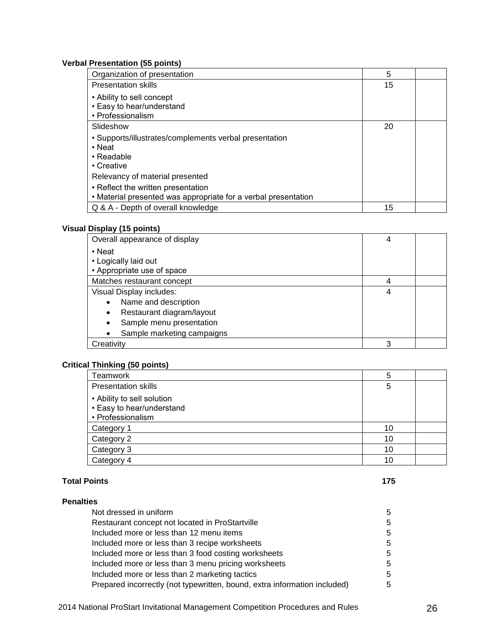#### **Verbal Presentation (55 points)**

| Organization of presentation                                                                                                                                                                                                                  | 5  |  |
|-----------------------------------------------------------------------------------------------------------------------------------------------------------------------------------------------------------------------------------------------|----|--|
| <b>Presentation skills</b>                                                                                                                                                                                                                    | 15 |  |
| • Ability to sell concept<br>• Easy to hear/understand<br>• Professionalism                                                                                                                                                                   |    |  |
| Slideshow                                                                                                                                                                                                                                     | 20 |  |
| • Supports/illustrates/complements verbal presentation<br>• Neat<br>$\cdot$ Readable<br>• Creative<br>Relevancy of material presented<br>• Reflect the written presentation<br>• Material presented was appropriate for a verbal presentation |    |  |
| Q & A - Depth of overall knowledge                                                                                                                                                                                                            | 15 |  |

#### **Visual Display (15 points)**

| Overall appearance of display          | 4 |  |
|----------------------------------------|---|--|
| • Neat                                 |   |  |
| • Logically laid out                   |   |  |
| • Appropriate use of space             |   |  |
| Matches restaurant concept             | 4 |  |
| Visual Display includes:               | 4 |  |
| Name and description<br>$\bullet$      |   |  |
| Restaurant diagram/layout<br>$\bullet$ |   |  |
| Sample menu presentation               |   |  |
| Sample marketing campaigns             |   |  |
| Creativity                             | 3 |  |

#### **Critical Thinking (50 points)**

| Teamwork                                                                     | 5  |  |
|------------------------------------------------------------------------------|----|--|
| <b>Presentation skills</b>                                                   | 5  |  |
| • Ability to sell solution<br>• Easy to hear/understand<br>• Professionalism |    |  |
| Category 1                                                                   | 10 |  |
| Category 2                                                                   | 10 |  |
| Category 3                                                                   | 10 |  |
| Category 4                                                                   | 10 |  |

#### **Total Points 175**

| <b>Penalties</b>                                                          |   |
|---------------------------------------------------------------------------|---|
| Not dressed in uniform                                                    | 5 |
| Restaurant concept not located in ProStartville                           | 5 |
| Included more or less than 12 menu items                                  | 5 |
| Included more or less than 3 recipe worksheets                            | 5 |
| Included more or less than 3 food costing worksheets                      | 5 |
| Included more or less than 3 menu pricing worksheets                      | 5 |
| Included more or less than 2 marketing tactics                            | 5 |
| Prepared incorrectly (not typewritten, bound, extra information included) | 5 |

2014 National ProStart Invitational Management Competition Procedures and Rules 26